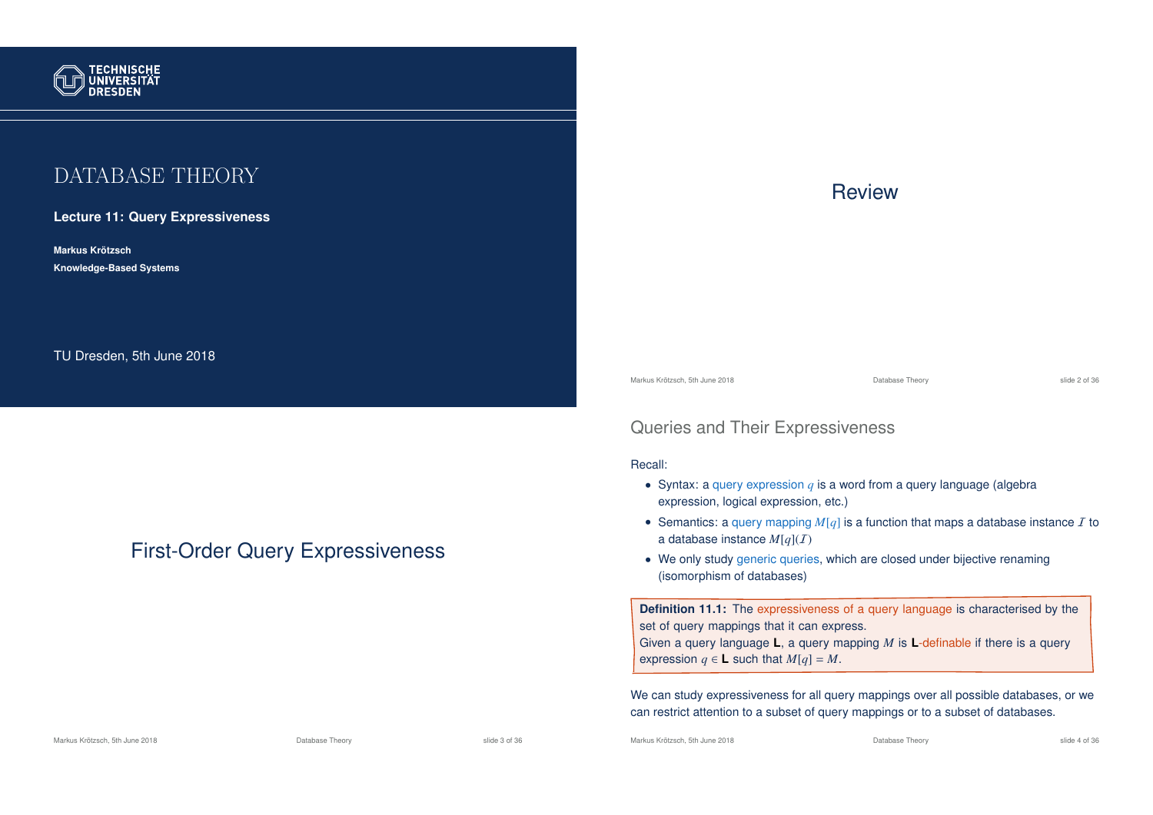

# DATABASE THEORY

### **Lecture 11: Query Expressiveness**

**Markus Krotzsch ¨ Knowledge-Based Systems**

TU Dresden, 5th June 2018

# First-Order Query Expressiveness

### **Review**

Markus Krötzsch, 5th June 2018 Database Theory slide 2 of 36

### Queries and Their Expressiveness

#### Recall:

- Syntax: a query expression *q* is a word from a query language (algebra expression, logical expression, etc.)
- Semantics: a query mapping  $M[q]$  is a function that maps a database instance  $I$  to a database instance  $M[q](I)$
- We only study generic queries, which are closed under bijective renaming (isomorphism of databases)

**Definition 11.1:** The expressiveness of a query language is characterised by the set of query mappings that it can express. Given a query language **L**, a query mapping *M* is **L**-definable if there is a query expression  $q \in L$  such that  $M[q] = M$ .

We can study expressiveness for all query mappings over all possible databases, or we can restrict attention to a subset of query mappings or to a subset of databases.

Markus Krötzsch, 5th June 2018 Database Theory slide 3 of 36

Markus Krötzsch, 5th June 2018 Database Theory slide 4 of 36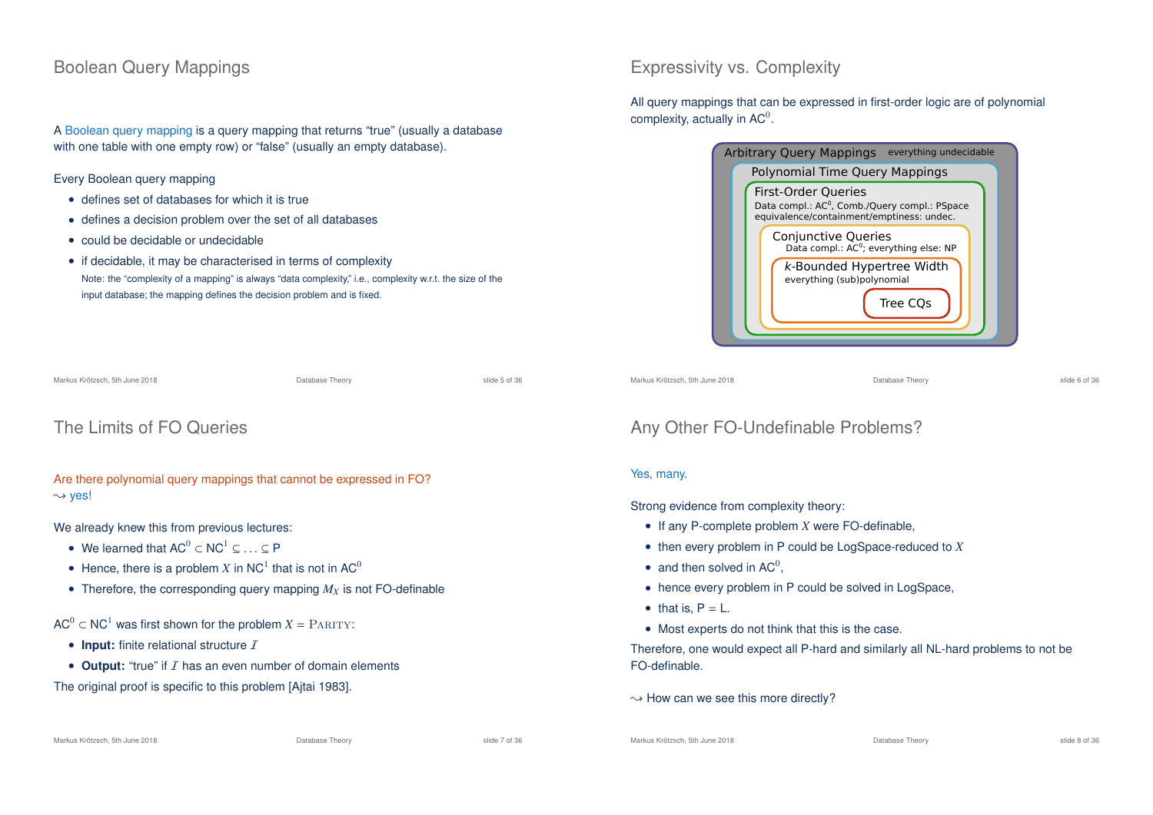# Boolean Query Mappings

A Boolean query mapping is a query mapping that returns "true" (usually a database with one table with one empty row) or "false" (usually an empty database).

#### Every Boolean query mapping

- defines set of databases for which it is true
- defines a decision problem over the set of all databases
- could be decidable or undecidable
- if decidable, it may be characterised in terms of complexity Note: the "complexity of a mapping" is always "data complexity," i.e., complexity w.r.t. the size of the input database; the mapping defines the decision problem and is fixed.

| Markus Krötzsch, 5th June 2018 | Database Theory | slide 5 of 36 |
|--------------------------------|-----------------|---------------|
|                                |                 |               |

# The Limits of FO Queries

### Are there polynomial query mappings that cannot be expressed in FO?  $\rightsquigarrow$  yes!

We already knew this from previous lectures:

- We learned that  $AC^0 \subset NC^1 \subset \ldots \subset P$
- Hence, there is a problem  $X$  in NC<sup>1</sup> that is not in AC<sup>0</sup>
- Therefore, the corresponding query mapping  $M_X$  is not FO-definable

 $AC^0 \subset NC^1$  was first shown for the problem  $X = PARITY$ :

- $\bullet$  **Input:** finite relational structure  $I$
- $\bullet$  **Output:** "true" if  $I$  has an even number of domain elements

The original proof is specific to this problem [Ajtai 1983].

### Expressivity vs. Complexity

All query mappings that can be expressed in first-order logic are of polynomial complexity, actually in  $AC^0$ .

|                                | <b>Arbitrary Query Mappings</b><br>everything undecidable                                                                            |  |
|--------------------------------|--------------------------------------------------------------------------------------------------------------------------------------|--|
| Polynomial Time Query Mappings |                                                                                                                                      |  |
|                                | <b>First-Order Queries</b><br>Data compl.: AC <sup>0</sup> , Comb./Query compl.: PSpace<br>equivalence/containment/emptiness: undec. |  |
|                                | Conjunctive Queries<br>Data compl.: AC <sup>0</sup> ; everything else: NP                                                            |  |
|                                | k-Bounded Hypertree Width<br>everything (sub)polynomial<br>Tree COs                                                                  |  |
|                                |                                                                                                                                      |  |

Markus Krötzsch, 5th June 2018 Database Theory slide 6 of 36

# Any Other FO-Undefinable Problems?

### Yes, many.

Strong evidence from complexity theory:

- If any P-complete problem *X* were FO-definable,
- then every problem in P could be LogSpace-reduced to *X*
- and then solved in  $AC^0$ ,
- hence every problem in P could be solved in LogSpace,
- $\bullet$  that is,  $P = L$ .
- Most experts do not think that this is the case.

Therefore, one would expect all P-hard and similarly all NL-hard problems to not be FO-definable.

 $\rightarrow$  How can we see this more directly?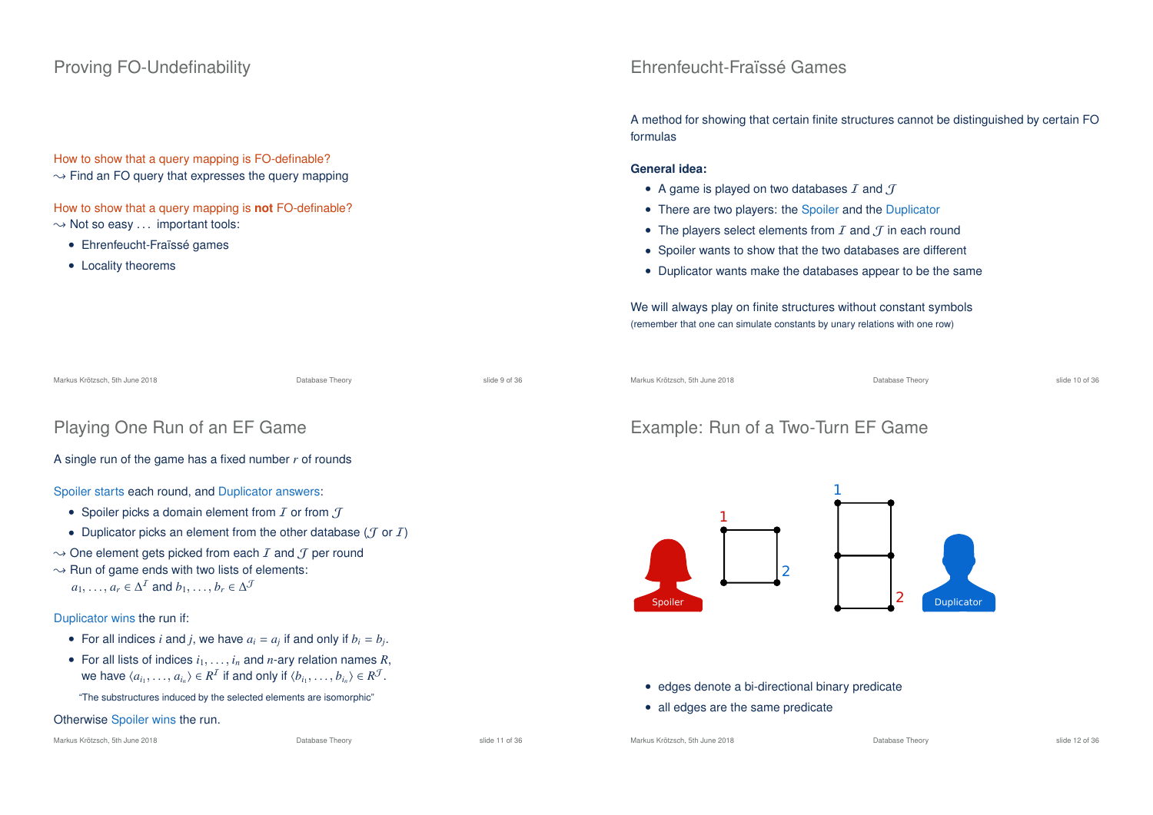# Proving FO-Undefinability

How to show that a query mapping is FO-definable?

 $\rightarrow$  Find an FO query that expresses the query mapping

How to show that a query mapping is **not** FO-definable?  $\rightarrow$  Not so easy ... important tools:

Playing One Run of an EF Game

A single run of the game has a fixed number *r* of rounds

 $\rightarrow$  One element gets picked from each *I* and *J* per round

Spoiler starts each round, and Duplicator answers: • Spoiler picks a domain element from  $I$  or from  $I$ 

 $\rightarrow$  Run of game ends with two lists of elements:

 $a_1, \ldots, a_r \in \Delta^T$  and  $b_1, \ldots, b_r \in \Delta^T$ 

- Ehrenfeucht-Fraïssé games
- Locality theorems

### Ehrenfeucht-Fraïssé Games

A method for showing that certain finite structures cannot be distinguished by certain FO formulas

#### **General idea:**

- A game is played on two databases  $I$  and  $J$
- There are two players: the Spoiler and the Duplicator
- The players select elements from  $I$  and  $J$  in each round
- Spoiler wants to show that the two databases are different
- Duplicator wants make the databases appear to be the same

We will always play on finite structures without constant symbols (remember that one can simulate constants by unary relations with one row)

Markus Krötzsch, 5th June 2018 Database Theory slide 9 of 36

Markus Krötzsch, 5th June 2018 Database Theory slide 10 of 36

# Example: Run of a Two-Turn EF Game



#### • edges denote a bi-directional binary predicate

• all edges are the same predicate

Markus Krötzsch, 5th June 2018 Database Theory slide 12 of 36

#### Markus Krötzsch, 5th June 2018 Database Theory slide 11 of 36

Otherwise Spoiler wins the run.

Duplicator wins the run if:

• For all indices *i* and *j*, we have  $a_i = a_j$  if and only if  $b_i = b_j$ . • For all lists of indices  $i_1, \ldots, i_n$  and *n*-ary relation names R,

we have  $\langle a_{i_1}, \ldots, a_{i_n} \rangle \in R^{\perp}$  if and only if  $\langle b_{i_1}, \ldots, b_{i_n} \rangle \in R^{\mathcal{Y}}$ .

• Duplicator picks an element from the other database ( $\mathcal T$  or  $\mathcal I$ )

"The substructures induced by the selected elements are isomorphic"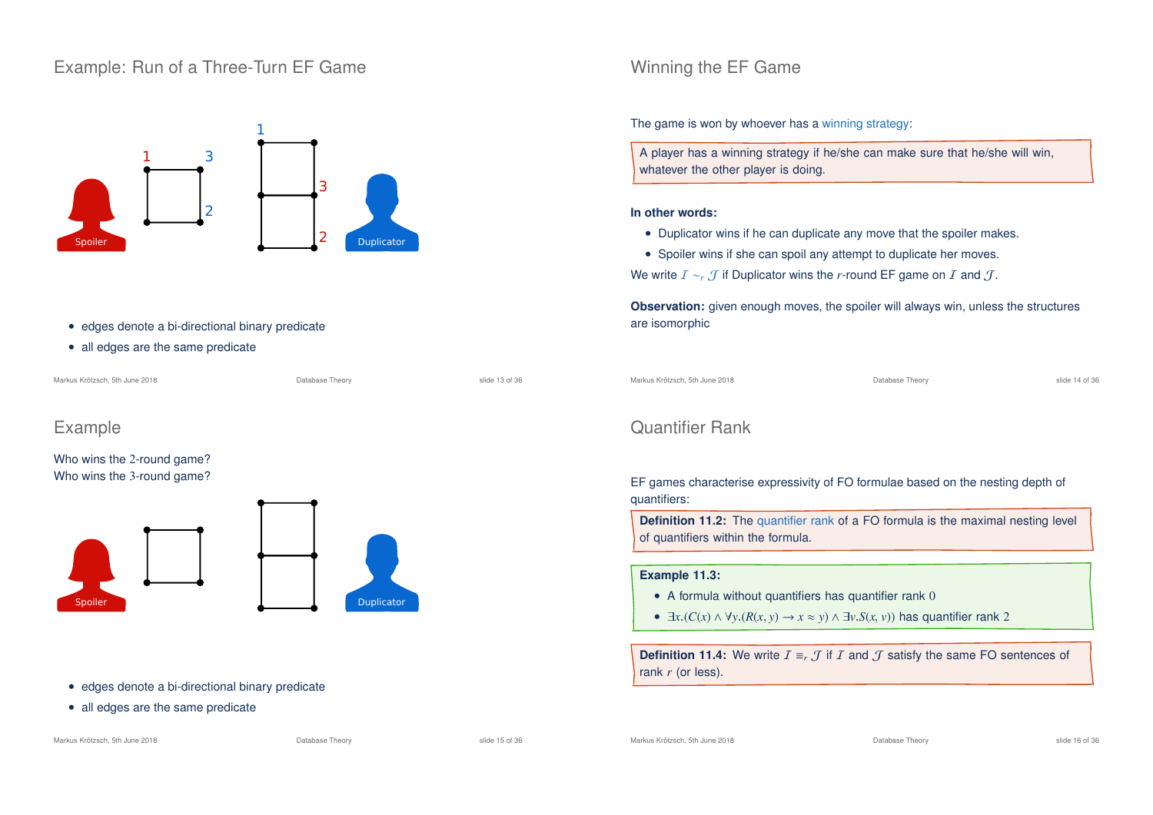### Example: Run of a Three-Turn EF Game



- edges denote a bi-directional binary predicate
- all edges are the same predicate

| Markus Krötzsch. 5th June 2018 | Database Theory | slide 13 of 36 |
|--------------------------------|-----------------|----------------|
|                                |                 |                |

# Example

Who wins the 2-round game? Who wins the 3-round game?



#### • edges denote a bi-directional binary predicate

• all edges are the same predicate

#### Markus Krötzsch, 5th June 2018 Database Theory slide 15 of 36

# Winning the EF Game

The game is won by whoever has a winning strategy:

A player has a winning strategy if he/she can make sure that he/she will win, whatever the other player is doing.

#### **In other words:**

- Duplicator wins if he can duplicate any move that the spoiler makes.
- Spoiler wins if she can spoil any attempt to duplicate her moves.

We write  $I \sim r$  J if Duplicator wins the *r*-round EF game on I and J.

**Observation:** given enough moves, the spoiler will always win, unless the structures are isomorphic

Markus Krötzsch, 5th June 2018 Database Theory slide 14 of 36

## Quantifier Rank

EF games characterise expressivity of FO formulae based on the nesting depth of quantifiers:

**Definition 11.2:** The quantifier rank of a FO formula is the maximal nesting level of quantifiers within the formula.

#### **Example 11.3:**

- A formula without quantifiers has quantifier rank 0
- $\exists x. (C(x) \land \forall y. (R(x, y) \rightarrow x \approx y) \land \exists v. S(x, y))$  has quantifier rank 2

**Definition 11.4:** We write  $I = r$  if I and J satisfy the same FO sentences of rank *r* (or less).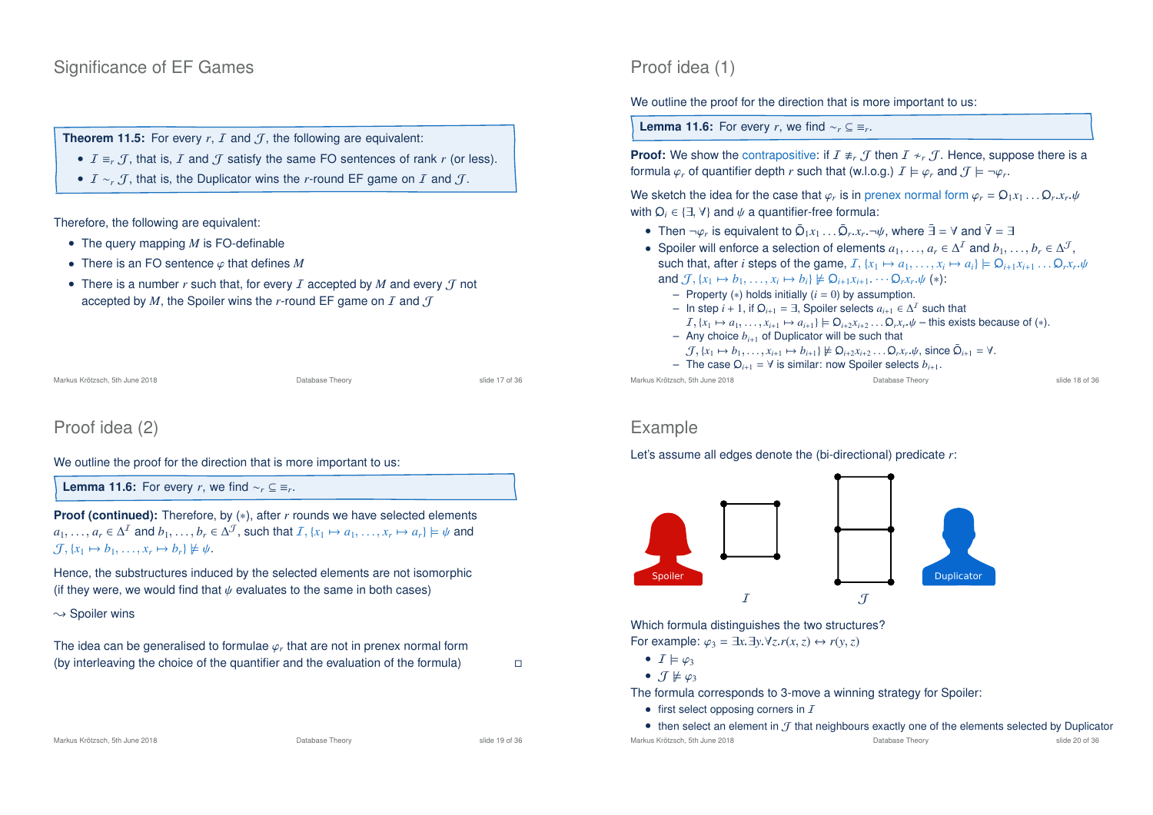### Significance of EF Games

**Theorem 11.5:** For every  $r$ ,  $I$  and  $J$ , the following are equivalent:

- $I = r \mathcal{J}$ , that is, I and  $\mathcal{J}$  satisfy the same FO sentences of rank r (or less).
- *I* ∼*r*, *T*, that is, the Duplicator wins the *r*-round EF game on *I* and *T*.

#### Therefore, the following are equivalent:

- The query mapping *M* is FO-definable
- There is an FO sentence ϕ that defines *M*
- There is a number  $r$  such that, for every  $I$  accepted by  $M$  and every  $J$  not accepted by *M*, the Spoiler wins the *r*-round EF game on  $I$  and  $I$

Markus Krötzsch, 5th June 2018 Database Theory slide 17 of 36

# Proof idea (2)

We outline the proof for the direction that is more important to us:

**Lemma 11.6:** For every *r*, we find  $\sim_r$  ⊆  $\equiv_r$ .

**Proof (continued):** Therefore, by (\*), after *r* rounds we have selected elements  $a_1, \ldots, a_r \in \Delta^I$  and  $b_1, \ldots, b_r \in \Delta^J$ , such that  $I, \{x_1 \mapsto a_1, \ldots, x_r \mapsto a_r\} \models \psi$  and  $\mathcal{J}, \{x_1 \mapsto b_1, \ldots, x_r \mapsto b_r\} \not\models \psi.$ 

Hence, the substructures induced by the selected elements are not isomorphic (if they were, we would find that  $\psi$  evaluates to the same in both cases)

 $\rightsquigarrow$  Spoiler wins

The idea can be generalised to formulae  $\varphi_r$  that are not in prenex normal form (by interleaving the choice of the quantifier and the evaluation of the formula)

Markus Krötzsch, 5th June 2018 Database Theory slide 19 of 36

### Proof idea (1)

We outline the proof for the direction that is more important to us:

**Lemma 11.6:** For every *r*, we find  $\sim_r$  ⊆  $\equiv_r$ .

**Proof:** We show the contrapositive: if  $I \neq r$ , *T* then  $I \neq r$ , *T*. Hence, suppose there is a formula  $\varphi_r$  of quantifier depth  $r$  such that (w.l.o.g.)  $I \models \varphi_r$  and  $\mathcal{J} \models \neg \varphi_r$ .

We sketch the idea for the case that  $\varphi_r$  is in prenex normal form  $\varphi_r = \mathsf{Q}_1 x_1 \dots \mathsf{Q}_r x_r \cdot \psi$ with  $Q_i \in \{\exists, \forall\}$  and  $\psi$  a quantifier-free formula:

- Then  $\neg \varphi_r$  is equivalent to  $\bar{Q}_1 x_1 \ldots \bar{Q}_r x_r \neg \psi$ , where  $\bar{\exists} = \forall$  and  $\bar{\forall} = \exists$
- Spoiler will enforce a selection of elements  $a_1, \ldots, a_r \in \Delta^1$  and  $b_1, \ldots, b_r \in \Delta^J$ , such that, after *i* steps of the game,  $I, \{x_1 \mapsto a_1, \ldots, x_i \mapsto a_i\} \models Q_{i+1}x_{i+1} \ldots Q_rx_r.\psi$ and  $\mathcal{J}, \{x_1 \mapsto b_1, \ldots, x_i \mapsto b_i\} \not\models \mathsf{Q}_{i+1}x_{i+1} \cdots \mathsf{Q}_r x_r \psi$  (\*):
	- Property (∗) holds initially (*i* = 0) by assumption.
	- $-$  In step *i* + 1, if  $Ω<sub>i+1</sub> = ∃$ , Spoiler selects  $a<sub>i+1</sub> ∈ Δ<sup>1</sup>$  such that
	- $I, \{x_1 \mapsto a_1, \ldots, x_{i+1} \mapsto a_{i+1}\} \models \mathsf{Q}_{i+2}x_{i+2} \ldots \mathsf{Q}_{r}x_{r}.\psi$  this exists because of (\*).
	- $-$  Any choice  $b_{i+1}$  of Duplicator will be such that
		- $\mathcal{J}, \{x_1 \mapsto b_1, \dots, x_{i+1} \mapsto b_{i+1}\} \not\models Q_{i+2}x_{i+2} \dots Q_rx_r \psi$ , since  $\bar{Q}_{i+1} = \forall$ .
	- The case <sup>Q</sup>*i*+<sup>1</sup> = ∀ is similar: now Spoiler selects *b<sup>i</sup>*+1.

Markus Krötzsch, 5th June 2018 **Database Theory** Database Theory **Sharehory** slide 18 of 36

### Example

#### Let's assume all edges denote the (bi-directional) predicate *r*:



Which formula distinguishes the two structures?

For example:  $\varphi_3 = \exists x \exists y \forall z \ r(x, z) \leftrightarrow r(y, z)$ 

- $I \models \varphi_3$
- $\mathcal{T} \not\models \varphi_3$

The formula corresponds to 3-move a winning strategy for Spoiler:

- first select opposing corners in  $I$
- then select an element in  $\mathcal J$  that neighbours exactly one of the elements selected by Duplicator<br>
Ratabase Theory Database Theory slide 20 of 36<br>
slide 20 of 36

Markus Krötzsch, 5th June 2018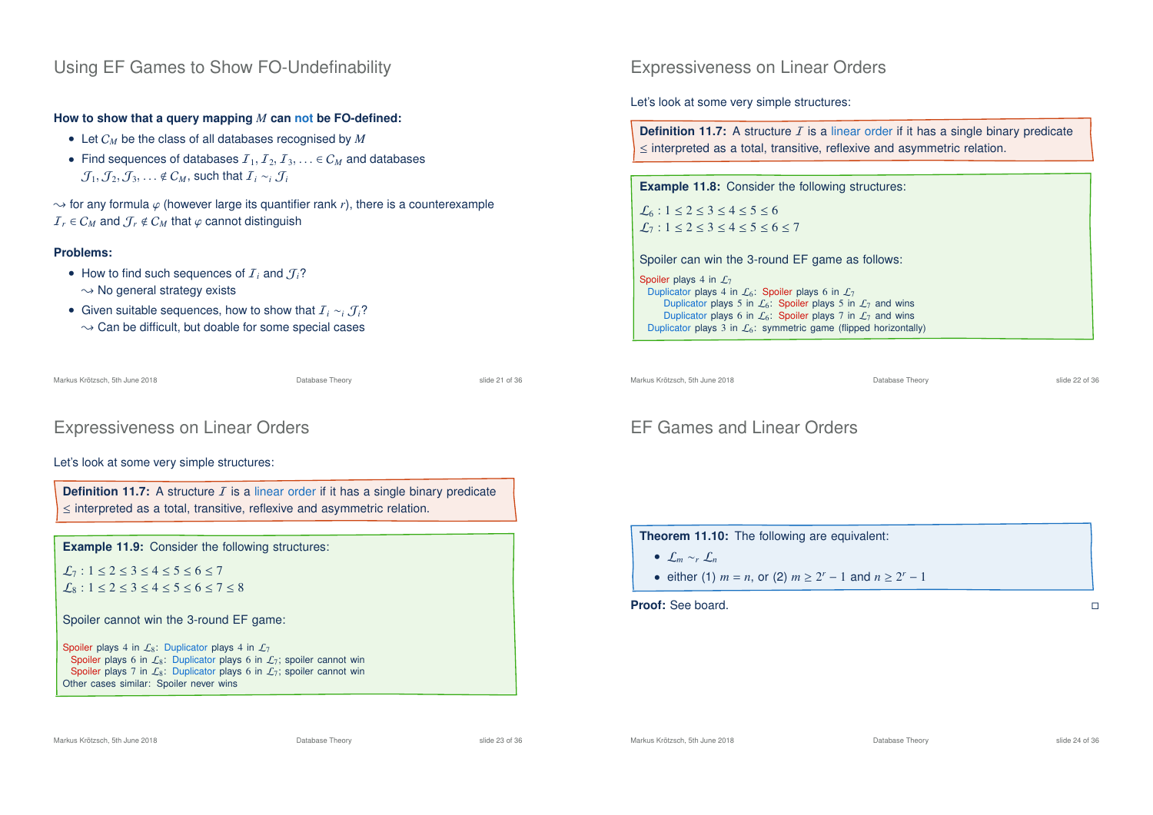### Using EF Games to Show FO-Undefinability

**How to show that a query mapping** *M* **can not be FO-defined:**

- Let C*<sup>M</sup>* be the class of all databases recognised by *M*
- Find sequences of databases  $I_1, I_2, I_3, \ldots \in C_M$  and databases  $\mathcal{J}_1, \mathcal{J}_2, \mathcal{J}_3, \ldots \notin \mathcal{C}_M$ , such that  $\mathcal{I}_i \sim_i \mathcal{J}_i$

 $\rightarrow$  for any formula  $\varphi$  (however large its quantifier rank *r*), there is a counterexample  $I_r \in C_M$  and  $T_r \notin C_M$  that  $\varphi$  cannot distinguish

### **Problems:**

- How to find such sequences of  $I_i$  and  $I_i$ ?
	- $\sim$  No general strategy exists
- Given suitable sequences, how to show that I*<sup>i</sup>* ∼*<sup>i</sup>* J*i*?  $\rightarrow$  Can be difficult, but doable for some special cases

Markus Krötzsch, 5th June 2018 Database Theory slide 21 of 36

# Expressiveness on Linear Orders

### Let's look at some very simple structures:

**Definition 11.7:** A structure  $I$  is a linear order if it has a single binary predicate ≤ interpreted as a total, transitive, reflexive and asymmetric relation.

**Example 11.9:** Consider the following structures:

 $\mathcal{L}_7 : 1 \leq 2 \leq 3 \leq 4 \leq 5 \leq 6 \leq 7$  $\mathcal{L}_8$ :  $1 \le 2 \le 3 \le 4 \le 5 \le 6 \le 7 \le 8$ 

Spoiler cannot win the 3-round EF game:

Spoiler plays 4 in  $\mathcal{L}_8$ : Duplicator plays 4 in  $\mathcal{L}_7$ Spoiler plays 6 in  $\mathcal{L}_8$ : Duplicator plays 6 in  $\mathcal{L}_7$ ; spoiler cannot win Spoiler plays 7 in  $\mathcal{L}_8$ : Duplicator plays 6 in  $\mathcal{L}_7$ ; spoiler cannot win Other cases similar: Spoiler never wins

Expressiveness on Linear Orders

Let's look at some very simple structures:

**Definition 11.7:** A structure  $I$  is a linear order if it has a single binary predicate ≤ interpreted as a total, transitive, reflexive and asymmetric relation.

**Example 11.8:** Consider the following structures:

 $L_6$ : 1 < 2 < 3 < 4 < 5 < 6  $L_7$ : 1 < 2 < 3 < 4 < 5 < 6 < 7

Spoiler can win the 3-round EF game as follows:

Spoiler plays 4 in  $\mathcal{L}_7$ Duplicator plays 4 in  $\mathcal{L}_6$ : Spoiler plays 6 in  $\mathcal{L}_7$ Duplicator plays 5 in  $\mathcal{L}_6$ : Spoiler plays 5 in  $\mathcal{L}_7$  and wins Duplicator plays 6 in  $\mathcal{L}_6$ : Spoiler plays 7 in  $\mathcal{L}_7$  and wins Duplicator plays 3 in  $\mathcal{L}_6$ : symmetric game (flipped horizontally)

Markus Krötzsch, 5th June 2018 Database Theory slide 22 of 36

# EF Games and Linear Orders

**Theorem 11.10:** The following are equivalent:

- L*<sup>m</sup>* ∼*<sup>r</sup>* L*<sup>n</sup>*
- either (1)  $m = n$ , or (2)  $m \ge 2^r 1$  and  $n \ge 2^r 1$

**Proof:** See board.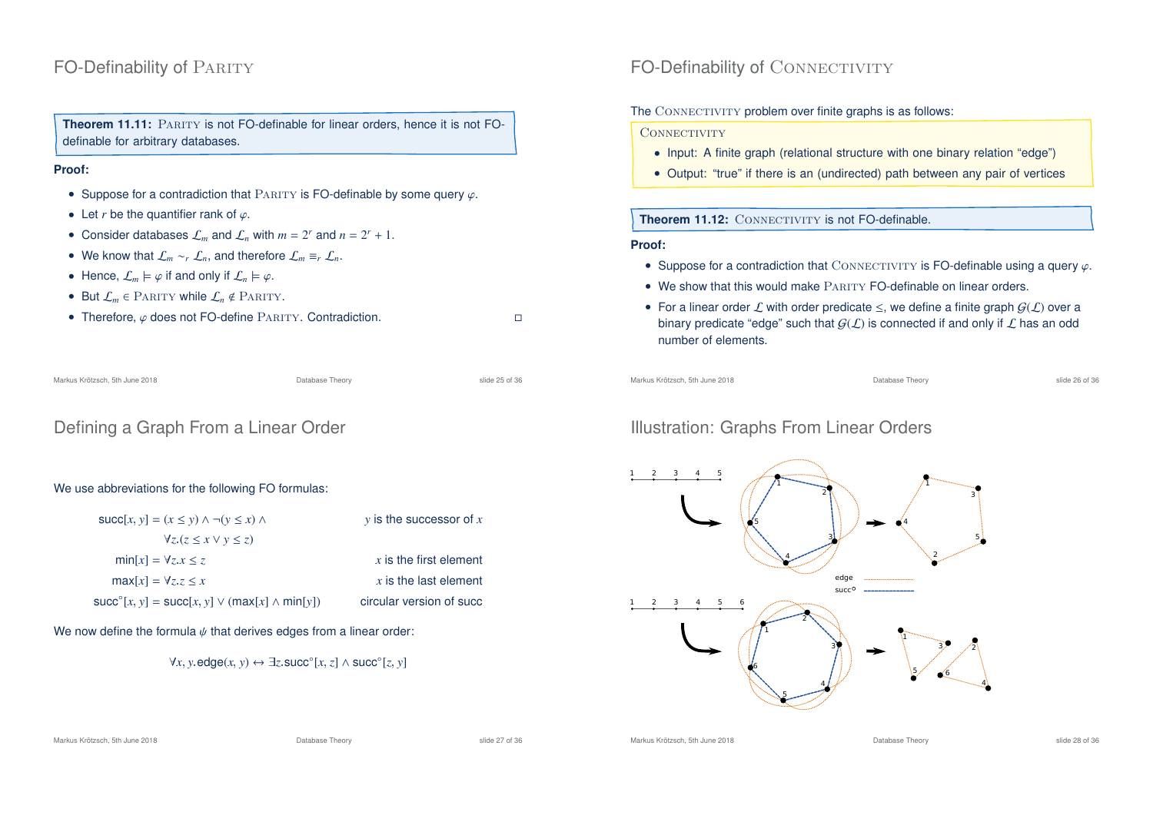# FO-Definability of PARITY

**Theorem 11.11:** PARITY is not FO-definable for linear orders, hence it is not FOdefinable for arbitrary databases.

#### **Proof:**

- Suppose for a contradiction that PARITY is FO-definable by some query  $\varphi$ .
- Let *r* be the quantifier rank of  $\varphi$ .
- Consider databases  $\mathcal{L}_m$  and  $\mathcal{L}_n$  with  $m = 2^r$  and  $n = 2^r + 1$ .
- We know that  $\mathcal{L}_m \sim_r \mathcal{L}_n$ , and therefore  $\mathcal{L}_m \equiv_r \mathcal{L}_n$ .
- Hence,  $\mathcal{L}_m \models \varphi$  if and only if  $\mathcal{L}_n \models \varphi$ .
- But  $\mathcal{L}_m \in \text{PARTY}$  while  $\mathcal{L}_n \notin \text{PARTY}.$
- Therefore,  $\varphi$  does not FO-define PARITY. Contradiction.

| Markus Krötzsch, 5th June 2018 | Database Theory | slide 25 of 36 |
|--------------------------------|-----------------|----------------|
|                                |                 |                |

### Defining a Graph From a Linear Order

### We use abbreviations for the following FO formulas:

| $succ[x, y] = (x \le y) \land \neg(y \le x) \land$            | $y$ is the successor of x |
|---------------------------------------------------------------|---------------------------|
| $\forall z (z \leq x \vee y \leq z)$                          |                           |
| $min[x] = \forall z \ x \leq z$                               | $x$ is the first element  |
| $max[x] = \forall z \cdot z \leq x$                           | $x$ is the last element   |
| $succ^{\circ}[x, y] = succ[x, y] \vee (max[x] \wedge min[y])$ | circular version of succ  |

We now define the formula  $\psi$  that derives edges from a linear order:

$$
\forall x, y. \mathsf{edge}(x, y) \leftrightarrow \exists z. \mathsf{succ}^{\circ}[x, z] \land \mathsf{succ}^{\circ}[z, y]
$$

# FO-Definability of CONNECTIVITY

### The CONNECTIVITY problem over finite graphs is as follows:

#### CONNECTIVITY

- Input: A finite graph (relational structure with one binary relation "edge")
- Output: "true" if there is an (undirected) path between any pair of vertices

### **Theorem 11.12: CONNECTIVITY is not FO-definable.**

#### **Proof:**

- Suppose for a contradiction that CONNECTIVITY is FO-definable using a query  $\varphi$ .
- $\bullet$  We show that this would make  $\overline{P_{ABITV}}$  FO-definable on linear orders.
- For a linear order L with order predicate  $\leq$ , we define a finite graph  $G(\mathcal{L})$  over a binary predicate "edge" such that  $G(\mathcal{L})$  is connected if and only if  $\mathcal L$  has an odd number of elements.

```
Markus Krötzsch, 5th June 2018 Database Theory slide 26 of 36
```
# Illustration: Graphs From Linear Orders

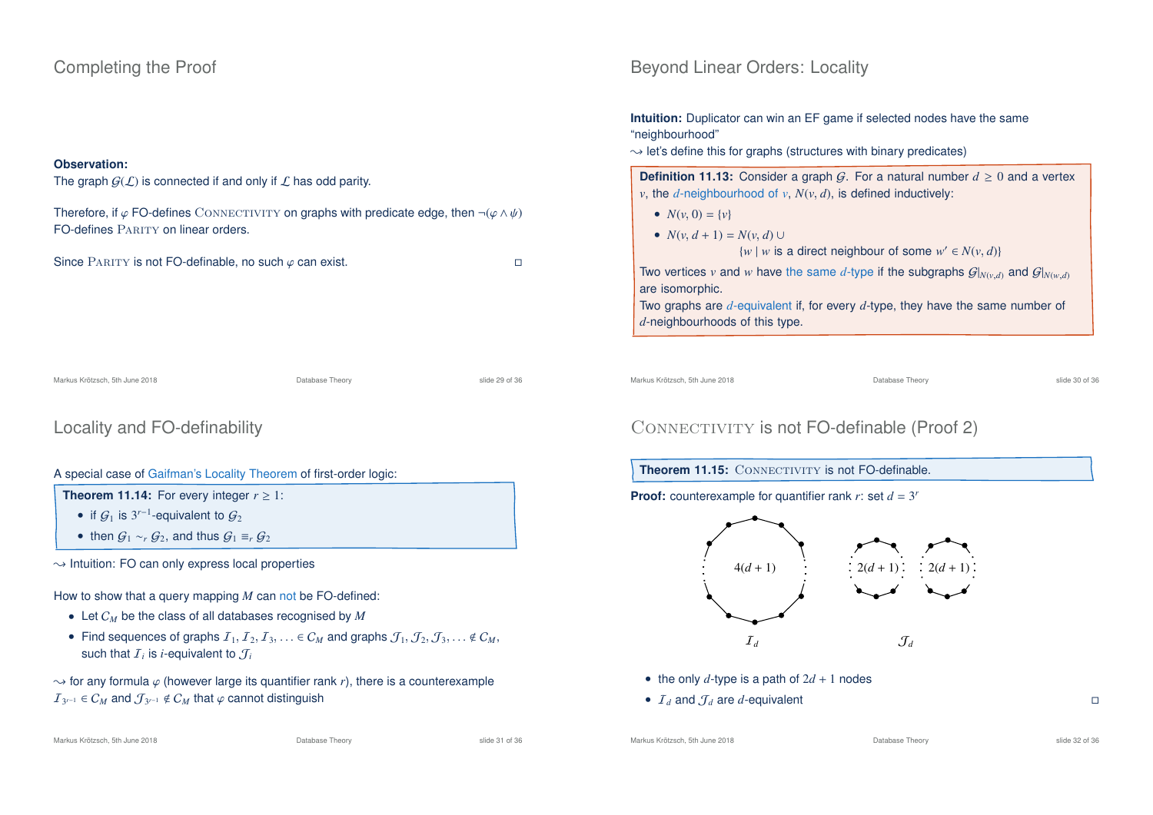### Completing the Proof

### **Observation:**

```
The graph G(\mathcal{L}) is connected if and only if \mathcal L has odd parity.
Therefore, if \varphi FO-defines CONNECTIVITY on graphs with predicate edge, then \neg(\varphi \land \psi)FO-defines PARITY on linear orders.
Since PARITY is not FO-definable, no such \varphi can exist.
Markus Krötzsch, 5th June 2018 Database Theory slide 29 of 36
```
# Locality and FO-definability

### A special case of Gaifman's Locality Theorem of first-order logic:

**Theorem 11.14:** For every integer  $r \geq 1$ :

- if  $\mathcal{G}_1$  is 3<sup>r-1</sup>-equivalent to  $\mathcal{G}_2$
- then  $G_1 \sim_r G_2$ , and thus  $G_1 \equiv_r G_2$

 $\rightarrow$  Intuition: FO can only express local properties

How to show that a query mapping *M* can not be FO-defined:

- Let C*<sup>M</sup>* be the class of all databases recognised by *M*
- Find sequences of graphs  $I_1, I_2, I_3, \ldots \in C_M$  and graphs  $\mathcal{J}_1, \mathcal{J}_2, \mathcal{J}_3, \ldots \notin C_M$ , such that  ${\cal I}_i$  is *i*-equivalent to  ${\cal J}_i$

 $\rightarrow$  for any formula  $\varphi$  (however large its quantifier rank *r*), there is a counterexample  $I_{3^{r-1}}$  ∈  $C_M$  and  $\mathcal{J}_{3^{r-1}}$  ∉  $C_M$  that  $\varphi$  cannot distinguish

### Beyond Linear Orders: Locality

**Intuition:** Duplicator can win an EF game if selected nodes have the same "neighbourhood"

 $\rightarrow$  let's define this for graphs (structures with binary predicates)

**Definition 11.13:** Consider a graph G. For a natural number  $d \ge 0$  and a vertex *v*, the *d*-neighbourhood of *v*,  $N(v, d)$ , is defined inductively:

- $N(v, 0) = \{v\}$
- $N(v, d + 1) = N(v, d)$ 
	- $\{w \mid w \text{ is a direct neighbour of some } w' \in N(v, d)\}$

Two vertices *v* and *w* have the same *d*-type if the subgraphs  $G|_{N(v,d)}$  and  $G|_{N(w,d)}$ are isomorphic.

Two graphs are *d*-equivalent if, for every *d*-type, they have the same number of *d*-neighbourhoods of this type.

Markus Krötzsch, 5th June 2018 Database Theory slide 30 of 36

# CONNECTIVITY is not FO-definable (Proof 2)

### **Theorem 11.15:** CONNECTIVITY is not FO-definable.

**Proof:** counterexample for quantifier rank  $r$ : set  $d = 3^r$ 



- the only  $d$ -type is a path of  $2d + 1$  nodes
- $I_d$  and  $J_d$  are *d*-equivalent